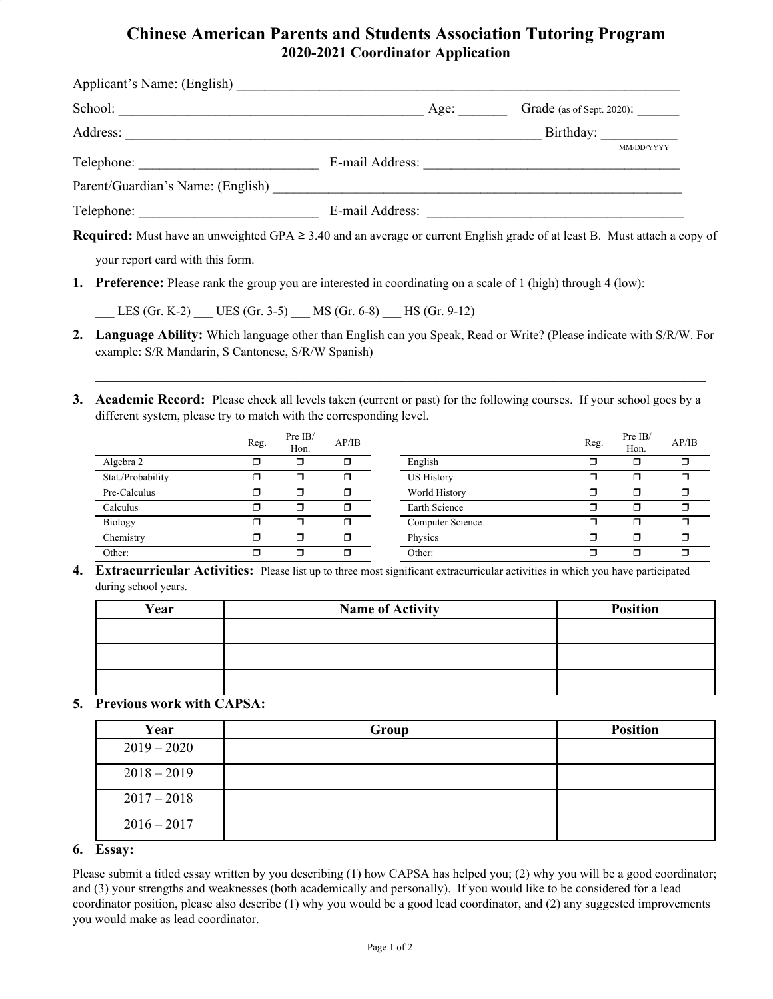# **Chinese American Parents and Students Association Tutoring Program 2020-2021 Coordinator Application**

| School:                           | Age: | Grade (as of Sept. 2020): |            |
|-----------------------------------|------|---------------------------|------------|
| Address:                          |      |                           | Birthday:  |
| Telephone:                        |      |                           | MM/DD/YYYY |
| Parent/Guardian's Name: (English) |      |                           |            |
|                                   |      |                           |            |

**Required:** Must have an unweighted GPA ≥ 3.40 and an average or current English grade of at least B. Must attach a copy of

your report card with this form.

**1. Preference:** Please rank the group you are interested in coordinating on a scale of 1 (high) through 4 (low):

\_\_\_ LES (Gr. K-2) \_\_\_ UES (Gr. 3-5) \_\_\_ MS (Gr. 6-8) \_\_\_ HS (Gr. 9-12)

**2. Language Ability:** Which language other than English can you Speak, Read or Write? (Please indicate with S/R/W. For example: S/R Mandarin, S Cantonese, S/R/W Spanish)

**\_\_\_\_\_\_\_\_\_\_\_\_\_\_\_\_\_\_\_\_\_\_\_\_\_\_\_\_\_\_\_\_\_\_\_\_\_\_\_\_\_\_\_\_\_\_\_\_\_\_\_\_\_\_\_\_\_\_\_\_\_\_\_\_\_\_\_\_\_\_\_\_\_\_\_\_\_\_\_\_\_\_\_\_\_\_\_\_**

**3. Academic Record:** Please check all levels taken (current or past) for the following courses. If your school goes by a different system, please try to match with the corresponding level.

|                   | Reg. | Pre IB/<br>Hon. | AP/IB |                   | Reg. | Pre IB/<br>Hon. | AP/IB |
|-------------------|------|-----------------|-------|-------------------|------|-----------------|-------|
| Algebra 2         |      |                 | ┑     | English           |      |                 |       |
| Stat./Probability | ┓    | ึ⊓              | ┑     | <b>US History</b> | ⊓    | ⊓               | ⊓     |
| Pre-Calculus      |      |                 | ⊓     | World History     | ⊓    | ⊓               |       |
| Calculus          |      | ⊓               | π     | Earth Science     |      | ⊓               | ⊓     |
| Biology           | ⊓    | ⊓               | ⊓     | Computer Science  | ⊓    | ⊓               | ⊓     |
| Chemistry         |      |                 | ⊓     | Physics           | ⊓    | ⊓               | ⊓     |
| Other:            |      |                 | ┑.    | Other:            |      | π               |       |

**4. Extracurricular Activities:** Please list up to three most significant extracurricular activities in which you have participated during school years.

| Year | <b>Name of Activity</b> | <b>Position</b> |
|------|-------------------------|-----------------|
|      |                         |                 |
|      |                         |                 |
|      |                         |                 |
|      |                         |                 |

### **5. Previous work with CAPSA:**

| Year          | Group | <b>Position</b> |
|---------------|-------|-----------------|
| $2019 - 2020$ |       |                 |
| $2018 - 2019$ |       |                 |
| $2017 - 2018$ |       |                 |
| $2016 - 2017$ |       |                 |

### **6. Essay:**

Please submit a titled essay written by you describing (1) how CAPSA has helped you; (2) why you will be a good coordinator; and (3) your strengths and weaknesses (both academically and personally). If you would like to be considered for a lead coordinator position, please also describe (1) why you would be a good lead coordinator, and (2) any suggested improvements you would make as lead coordinator.